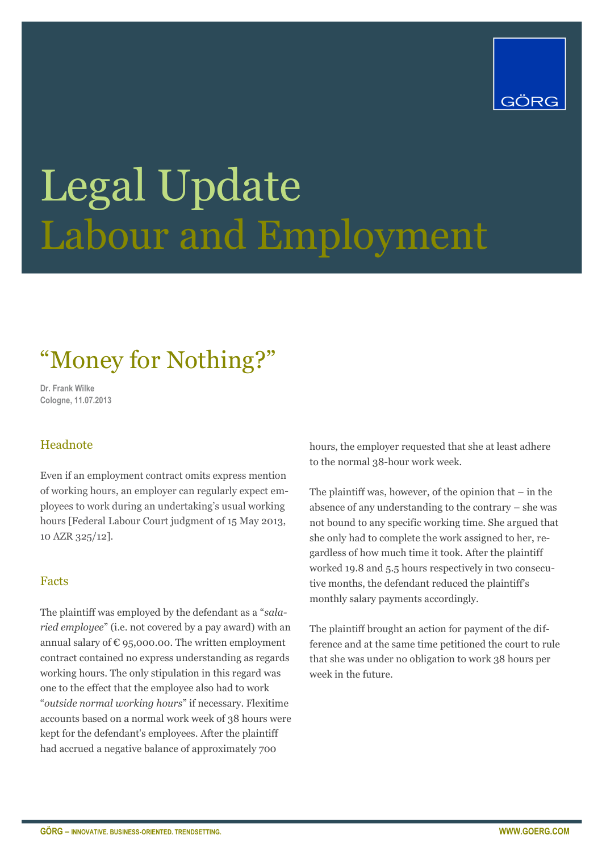

# Legal Update Labour and Employment

# "Money for Nothing?"

**Dr. Frank Wilke Cologne, 11.07.2013**

# **Headnote**

Even if an employment contract omits express mention of working hours, an employer can regularly expect employees to work during an undertaking's usual working hours [Federal Labour Court judgment of 15 May 2013, 10 AZR 325/12].

## Facts

The plaintiff was employed by the defendant as a "*salaried employee*" (i.e. not covered by a pay award) with an annual salary of  $\epsilon$  95,000.00. The written employment contract contained no express understanding as regards working hours. The only stipulation in this regard was one to the effect that the employee also had to work "*outside normal working hours*" if necessary. Flexitime accounts based on a normal work week of 38 hours were kept for the defendant's employees. After the plaintiff had accrued a negative balance of approximately 700

hours, the employer requested that she at least adhere to the normal 38-hour work week.

The plaintiff was, however, of the opinion that – in the absence of any understanding to the contrary – she was not bound to any specific working time. She argued that she only had to complete the work assigned to her, regardless of how much time it took. After the plaintiff worked 19.8 and 5.5 hours respectively in two consecutive months, the defendant reduced the plaintiff's monthly salary payments accordingly.

The plaintiff brought an action for payment of the difference and at the same time petitioned the court to rule that she was under no obligation to work 38 hours per week in the future.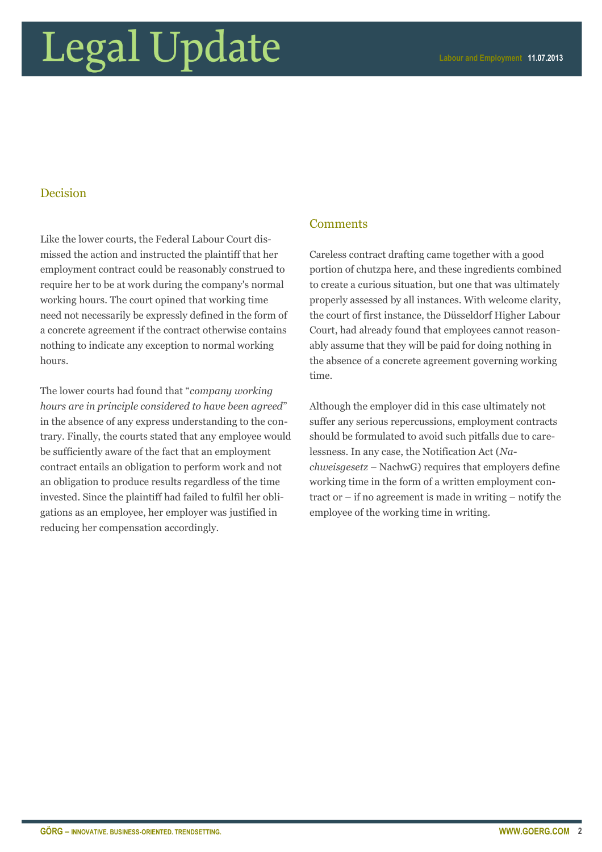# Legal Update

# Decision

Like the lower courts, the Federal Labour Court dismissed the action and instructed the plaintiff that her employment contract could be reasonably construed to require her to be at work during the company's normal working hours. The court opined that working time need not necessarily be expressly defined in the form of a concrete agreement if the contract otherwise contains nothing to indicate any exception to normal working hours.

The lower courts had found that "*company working hours are in principle considered to have been agreed*" in the absence of any express understanding to the contrary. Finally, the courts stated that any employee would be sufficiently aware of the fact that an employment contract entails an obligation to perform work and not an obligation to produce results regardless of the time invested. Since the plaintiff had failed to fulfil her obligations as an employee, her employer was justified in reducing her compensation accordingly.

### **Comments**

Careless contract drafting came together with a good portion of chutzpa here, and these ingredients combined to create a curious situation, but one that was ultimately properly assessed by all instances. With welcome clarity, the court of first instance, the Düsseldorf Higher Labour Court, had already found that employees cannot reasonably assume that they will be paid for doing nothing in the absence of a concrete agreement governing working time.

Although the employer did in this case ultimately not suffer any serious repercussions, employment contracts should be formulated to avoid such pitfalls due to carelessness. In any case, the Notification Act (*Nachweisgesetz* – NachwG) requires that employers define working time in the form of a written employment contract or – if no agreement is made in writing – notify the employee of the working time in writing.